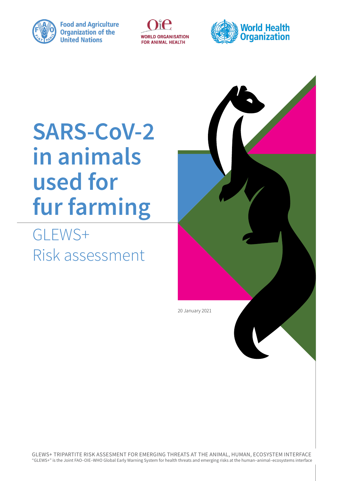

**Food and Agriculture Organization of the United Nations** 





# **SARS-CoV-2 in animals used for fur farming**

GLEWS+ Risk assessment

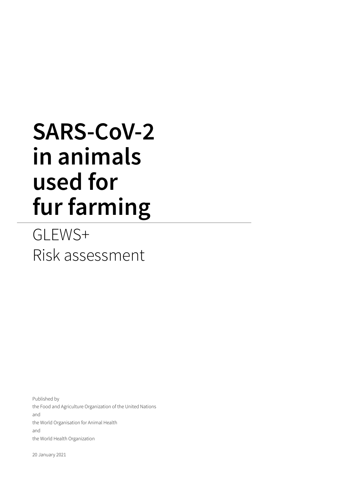# **SARS-CoV-2 in animals used for fur farming**

GLEWS+ Risk assessment

Published by the Food and Agriculture Organization of the United Nations and the World Organisation for Animal Health and the World Health Organization

20 January 2021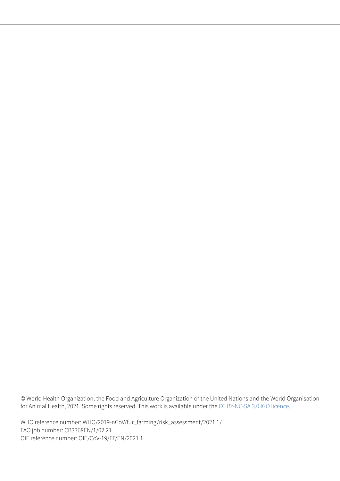© World Health Organization, the Food and Agriculture Organization of the United Nations and the World Organisation for Animal Health, 2021. Some rights reserved. This work is available under the [CC BY-NC-SA 3.0 IGO licence](https://creativecommons.org/licenses/by-nc-sa/3.0/igo/).

WHO reference number: WHO/2019-nCoV/fur\_farming/risk\_assessment/2021.1/ FAO job number: CB3368EN/1/02.21 OIE reference number: OIE/CoV-19/FF/EN/2021.1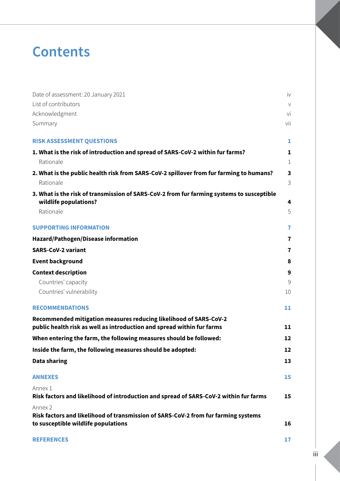## **Contents**

| Date of assessment: 20 January 2021                                                                                             | iv                      |
|---------------------------------------------------------------------------------------------------------------------------------|-------------------------|
| List of contributors                                                                                                            | $\vee$                  |
| Acknowledgment                                                                                                                  | vi                      |
| Summary                                                                                                                         | vii                     |
| <b>RISK ASSESSMENT QUESTIONS</b>                                                                                                | 1                       |
| 1. What is the risk of introduction and spread of SARS-CoV-2 within fur farms?                                                  | 1                       |
| Rationale                                                                                                                       | 1                       |
| 2. What is the public health risk from SARS-CoV-2 spillover from fur farming to humans?                                         | $\overline{\mathbf{3}}$ |
| Rationale                                                                                                                       | 3                       |
| 3. What is the risk of transmission of SARS-CoV-2 from fur farming systems to susceptible<br>wildlife populations?<br>Rationale | 4<br>5                  |
| <b>SUPPORTING INFORMATION</b>                                                                                                   | $\overline{7}$          |
| Hazard/Pathogen/Disease information                                                                                             | 7                       |
| <b>SARS-CoV-2 variant</b>                                                                                                       | 7                       |
| <b>Event background</b>                                                                                                         | 8                       |
| <b>Context description</b>                                                                                                      | 9                       |
| Countries' capacity                                                                                                             | 9                       |
| Countries' vulnerability                                                                                                        | 10                      |
| <b>RECOMMENDATIONS</b>                                                                                                          | 11                      |
| Recommended mitigation measures reducing likelihood of SARS-CoV-2                                                               |                         |
| public health risk as well as introduction and spread within fur farms                                                          | 11                      |
| When entering the farm, the following measures should be followed:                                                              | 12                      |
| Inside the farm, the following measures should be adopted:                                                                      | 12                      |
| <b>Data sharing</b>                                                                                                             | 13                      |
| <b>ANNEXES</b>                                                                                                                  | 15                      |
| Annex 1<br>Risk factors and likelihood of introduction and spread of SARS-CoV-2 within fur farms                                | 15                      |
| Annex 2<br>Risk factors and likelihood of transmission of SARS-CoV-2 from fur farming systems                                   |                         |
| to susceptible wildlife populations                                                                                             | 16                      |
| <b>REFERENCES</b>                                                                                                               | 17                      |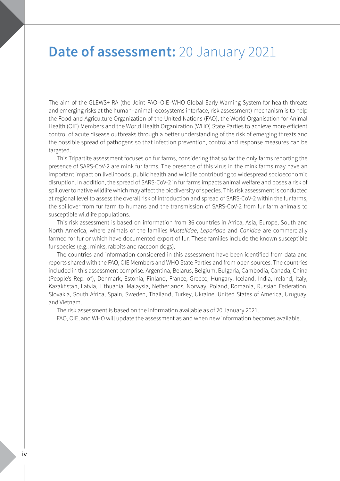### **Date of assessment:** 20 January 2021

The aim of the GLEWS+ RA (the Joint FAO–OIE–WHO Global Early Warning System for health threats and emerging risks at the human–animal–ecosystems interface, risk assessment) mechanism is to help the Food and Agriculture Organization of the United Nations (FAO), the World Organisation for Animal Health (OIE) Members and the World Health Organization (WHO) State Parties to achieve more efficient control of acute disease outbreaks through a better understanding of the risk of emerging threats and the possible spread of pathogens so that infection prevention, control and response measures can be targeted.

This Tripartite assessment focuses on fur farms, considering that so far the only farms reporting the presence of SARS-CoV-2 are mink fur farms. The presence of this virus in the mink farms may have an important impact on livelihoods, public health and wildlife contributing to widespread socioeconomic disruption. In addition, the spread of SARS-CoV-2 in fur farms impacts animal welfare and poses a risk of spillover to native wildlife which may affect the biodiversity of species. This risk assessment is conducted at regional level to assess the overall risk of introduction and spread of SARS-CoV-2 within the fur farms, the spillover from fur farm to humans and the transmission of SARS-CoV-2 from fur farm animals to susceptible wildlife populations.

This risk assessment is based on information from 36 countries in Africa, Asia, Europe, South and North America, where animals of the families *Mustelidae*, *Leporidae* and *Canidae* are commercially farmed for fur or which have documented export of fur. These families include the known susceptible fur species (e.g.: minks, rabbits and raccoon dogs).

The countries and information considered in this assessment have been identified from data and reports shared with the FAO, OIE Members and WHO State Parties and from open sources. The countries included in this assessment comprise: Argentina, Belarus, Belgium, Bulgaria, Cambodia, Canada, China (People's Rep. of), Denmark, Estonia, Finland, France, Greece, Hungary, Iceland, India, Ireland, Italy, Kazakhstan, Latvia, Lithuania, Malaysia, Netherlands, Norway, Poland, Romania, Russian Federation, Slovakia, South Africa, Spain, Sweden, Thailand, Turkey, Ukraine, United States of America, Uruguay, and Vietnam.

The risk assessment is based on the information available as of 20 January 2021.

FAO, OIE, and WHO will update the assessment as and when new information becomes available.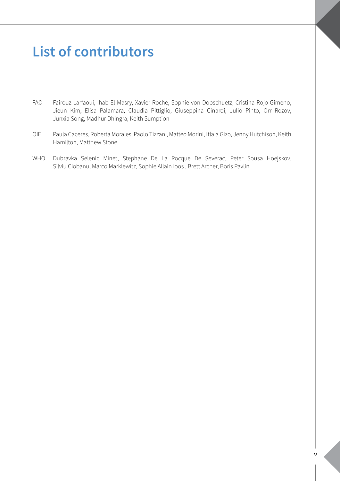# **List of contributors**

- FAO Fairouz Larfaoui, Ihab El Masry, Xavier Roche, Sophie von Dobschuetz, Cristina Rojo Gimeno, Jieun Kim, Elisa Palamara, Claudia Pittiglio, Giuseppina Cinardi, Julio Pinto, Orr Rozov, Junxia Song, Madhur Dhingra, Keith Sumption
- OIE Paula Caceres, Roberta Morales, Paolo Tizzani, Matteo Morini, Itlala Gizo, Jenny Hutchison, Keith Hamilton, Matthew Stone
- WHO Dubravka Selenic Minet, Stephane De La Rocque De Severac, Peter Sousa Hoejskov, Silviu Ciobanu, Marco Marklewitz, Sophie Allain Ioos , Brett Archer, Boris Pavlin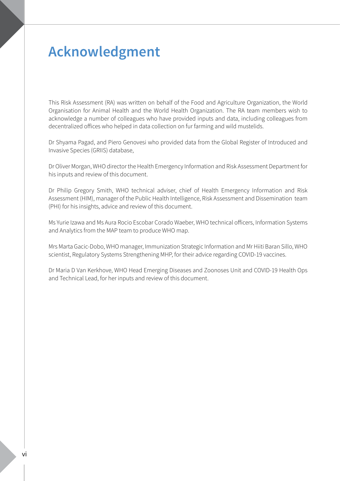## **Acknowledgment**

This Risk Assessment (RA) was written on behalf of the Food and Agriculture Organization, the World Organisation for Animal Health and the World Health Organization. The RA team members wish to acknowledge a number of colleagues who have provided inputs and data, including colleagues from decentralized offices who helped in data collection on fur farming and wild mustelids.

Dr Shyama Pagad, and Piero Genovesi who provided data from the Global Register of Introduced and Invasive Species (GRIIS) database,

Dr Oliver Morgan, WHO director the Health Emergency Information and Risk Assessment Department for his inputs and review of this document.

Dr Philip Gregory Smith, WHO technical adviser, chief of Health Emergency Information and Risk Assessment (HIM), manager of the Public Health Intelligence, Risk Assessment and Dissemination team (PHI) for his insights, advice and review of this document.

Ms Yurie Izawa and Ms Aura Rocio Escobar Corado Waeber, WHO technical officers, Information Systems and Analytics from the MAP team to produce WHO map.

Mrs Marta Gacic-Dobo, WHO manager, Immunization Strategic Information and Mr Hiiti Baran Sillo, WHO scientist, Regulatory Systems Strengthening MHP, for their advice regarding COVID-19 vaccines.

Dr Maria D Van Kerkhove, WHO Head Emerging Diseases and Zoonoses Unit and COVID-19 Health Ops and Technical Lead, for her inputs and review of this document.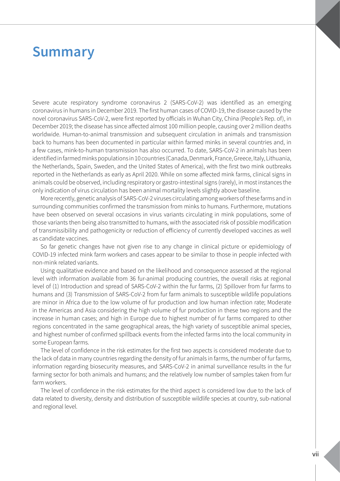### **Summary**

Severe acute respiratory syndrome coronavirus 2 (SARS-CoV-2) was identified as an emerging coronavirus in humans in December 2019. The first human cases of COVID-19, the disease caused by the novel coronavirus SARS-CoV-2, were first reported by officials in Wuhan City, China (People's Rep. of), in December 2019; the disease has since affected almost 100 million people, causing over 2 million deaths worldwide. Human-to-animal transmission and subsequent circulation in animals and transmission back to humans has been documented in particular within farmed minks in several countries and, in a few cases, mink-to-human transmission has also occurred. To date, SARS-CoV-2 in animals has been identified in farmed minks populations in 10 countries (Canada, Denmark, France, Greece, Italy, Lithuania, the Netherlands, Spain, Sweden, and the United States of America), with the first two mink outbreaks reported in the Netherlands as early as April 2020. While on some affected mink farms, clinical signs in animals could be observed, including respiratory or gastro-intestinal signs (rarely), in most instances the only indication of virus circulation has been animal mortality levels slightly above baseline.

More recently, genetic analysis of SARS-CoV-2 viruses circulating among workers of these farms and in surrounding communities confirmed the transmission from minks to humans. Furthermore, mutations have been observed on several occasions in virus variants circulating in mink populations, some of those variants then being also transmitted to humans, with the associated risk of possible modification of transmissibility and pathogenicity or reduction of efficiency of currently developed vaccines as well as candidate vaccines.

So far genetic changes have not given rise to any change in clinical picture or epidemiology of COVID-19 infected mink farm workers and cases appear to be similar to those in people infected with non-mink related variants.

Using qualitative evidence and based on the likelihood and consequence assessed at the regional level with information available from 36 fur-animal producing countries, the overall risks at regional level of (1) Introduction and spread of SARS-CoV-2 within the fur farms, (2) Spillover from fur farms to humans and (3) Transmission of SARS-CoV-2 from fur farm animals to susceptible wildlife populations are minor in Africa due to the low volume of fur production and low human infection rate; Moderate in the Americas and Asia considering the high volume of fur production in these two regions and the increase in human cases; and high in Europe due to highest number of fur farms compared to other regions concentrated in the same geographical areas, the high variety of susceptible animal species, and highest number of confirmed spillback events from the infected farms into the local community in some European farms.

The level of confidence in the risk estimates for the first two aspects is considered moderate due to the lack of data in many countries regarding the density of fur animals in farms, the number of fur farms, information regarding biosecurity measures, and SARS-CoV-2 in animal surveillance results in the fur farming sector for both animals and humans; and the relatively low number of samples taken from fur farm workers.

The level of confidence in the risk estimates for the third aspect is considered low due to the lack of data related to diversity, density and distribution of susceptible wildlife species at country, sub-national and regional level.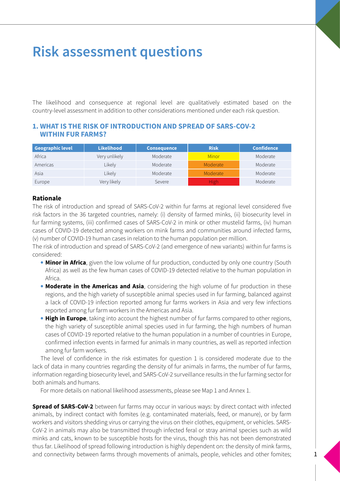# **Risk assessment questions**

The likelihood and consequence at regional level are qualitatively estimated based on the country-level assessment in addition to other considerations mentioned under each risk question.

#### **1. WHAT IS THE RISK OF INTRODUCTION AND SPREAD OF SARS-COV-2 WITHIN FUR FARMS?**

| Geographic level | <b>Likelihood</b> | <b>Consequence</b> | <b>Risk</b> | <b>Confidence</b> |
|------------------|-------------------|--------------------|-------------|-------------------|
| Africa           | Very unlikely     | Moderate           | Minor       | Moderate          |
| Americas         | Likely            | Moderate           | Moderate    | Moderate          |
| Asia             | Likely            | Moderate           | Moderate    | Moderate          |
| Europe           | Very likely       | Severe             | <b>High</b> | Moderate          |

#### **Rationale**

The risk of introduction and spread of SARS-CoV-2 within fur farms at regional level considered five risk factors in the 36 targeted countries, namely: (i) density of farmed minks, (ii) biosecurity level in fur farming systems, (iii) confirmed cases of SARS-CoV-2 in mink or other mustelid farms, (iv) human cases of COVID-19 detected among workers on mink farms and communities around infected farms, (v) number of COVID-19 human cases in relation to the human population per million.

The risk of introduction and spread of SARS-CoV-2 (and emergence of new variants) within fur farms is considered:

- **Minor in Africa**, given the low volume of fur production, conducted by only one country (South Africa) as well as the few human cases of COVID-19 detected relative to the human population in Africa.
- **Moderate in the Americas and Asia**, considering the high volume of fur production in these regions, and the high variety of susceptible animal species used in fur farming, balanced against a lack of COVID-19 infection reported among fur farms workers in Asia and very few infections reported among fur farm workers in the Americas and Asia.
- **High in Europe**, taking into account the highest number of fur farms compared to other regions, the high variety of susceptible animal species used in fur farming, the high numbers of human cases of COVID-19 reported relative to the human population in a number of countries in Europe, confirmed infection events in farmed fur animals in many countries, as well as reported infection among fur farm workers.

The level of confidence in the risk estimates for question 1 is considered moderate due to the lack of data in many countries regarding the density of fur animals in farms, the number of fur farms, information regarding biosecurity level, and SARS-CoV-2 surveillance results in the fur farming sector for both animals and humans.

For more details on national likelihood assessments, please see Map 1 and Annex 1.

**Spread of SARS-CoV-2** between fur farms may occur in various ways: by direct contact with infected animals, by indirect contact with fomites (e.g. contaminated materials, feed, or manure), or by farm workers and visitors shedding virus or carrying the virus on their clothes, equipment, or vehicles. SARS-CoV-2 in animals may also be transmitted through infected feral or stray animal species such as wild minks and cats, known to be susceptible hosts for the virus, though this has not been demonstrated thus far. Likelihood of spread following introduction is highly dependent on: the density of mink farms, and connectivity between farms through movements of animals, people, vehicles and other fomites;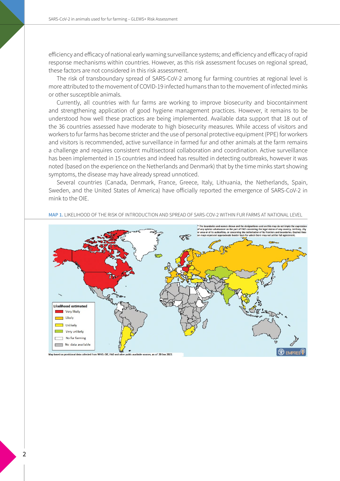efficiency and efficacy of national early warning surveillance systems; and efficiency and efficacy of rapid response mechanisms within countries. However, as this risk assessment focuses on regional spread, these factors are not considered in this risk assessment.

The risk of transboundary spread of SARS-CoV-2 among fur farming countries at regional level is more attributed to the movement of COVID-19 infected humans than to the movement of infected minks or other susceptible animals.

Currently, all countries with fur farms are working to improve biosecurity and biocontainment and strengthening application of good hygiene management practices. However, it remains to be understood how well these practices are being implemented. Available data support that 18 out of the 36 countries assessed have moderate to high biosecurity measures. While access of visitors and workers to fur farms has become stricter and the use of personal protective equipment (PPE) for workers and visitors is recommended, active surveillance in farmed fur and other animals at the farm remains a challenge and requires consistent multisectoral collaboration and coordination. Active surveillance has been implemented in 15 countries and indeed has resulted in detecting outbreaks, however it was noted (based on the experience on the Netherlands and Denmark) that by the time minks start showing symptoms, the disease may have already spread unnoticed.

Several countries (Canada, Denmark, France, Greece, Italy, Lithuania, the Netherlands, Spain, Sweden, and the United States of America) have officially reported the emergence of SARS-CoV-2 in mink to the OIE.



**MAP 1.** LIKELIHOOD OF THE RISK OF INTRODUCTION AND SPREAD OF SARS-COV-2 WITHIN FUR FARMS AT NATIONAL LEVEL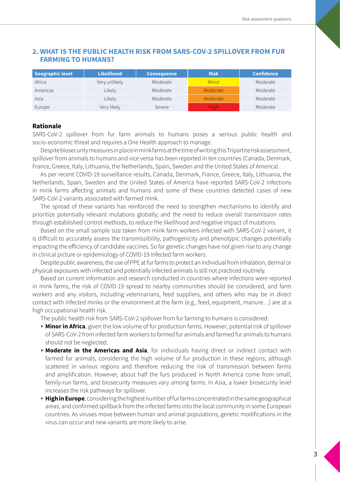| Geographic level | <b>Likelihood</b> | <b>Consequence</b> | <b>Risk</b> | <b>Confidence</b> |
|------------------|-------------------|--------------------|-------------|-------------------|
| Africa           | Very unlikely     | Moderate           | Minor       | Moderate          |
| Americas         | Likely            | Moderate           | Moderate    | Moderate          |
| Asia             | Likely            | Moderate           | Moderate    | Moderate          |
| Europe           | Very likely       | Severe             | High        | Moderate          |

#### **2. WHAT IS THE PUBLIC HEALTH RISK FROM SARS-COV-2 SPILLOVER FROM FUR FARMING TO HUMANS?**

#### **Rationale**

SARS-CoV-2 spillover from fur farm animals to humans poses a serious public health and socio-economic threat and requires a One Health approach to manage.

Despite biosecurity measures in place in mink farms at the time of writing this Tripartite risk assessment, spillover from animals to humans and vice versa has been reported in ten countries (Canada, Denmark, France, Greece, Italy, Lithuania, the Netherlands, Spain, Sweden and the United States of America).

As per recent COVID-19 surveillance results, Canada, Denmark, France, Greece, Italy, Lithuania, the Netherlands, Spain, Sweden and the United States of America have reported SARS-CoV-2 infections in mink farms affecting animals and humans and some of these countries detected cases of new SARS-CoV-2 variants associated with farmed mink.

The spread of these variants has reinforced the need to strengthen mechanisms to identify and prioritize potentially relevant mutations globally; and the need to reduce overall transmission rates through established control methods, to reduce the likelihood and negative impact of mutations.

Based on the small sample size taken from mink farm workers infected with SARS-CoV-2 variant, it is difficult to accurately assess the transmissibility, pathogenicity and phenotypic changes potentially impacting the efficiency of candidate vaccines. So far genetic changes have not given rise to any change in clinical picture or epidemiology of COVID-19 infected farm workers.

Despite public awareness, the use of PPE at fur farms to protect an individual from inhalation, dermal or physical exposures with infected and potentially infected animals is still not practiced routinely.

Based on current information and research conducted in countries where infections were reported in mink farms, the risk of COVID-19 spread to nearby communities should be considered, and farm workers and any visitors, including veterinarians, feed suppliers, and others who may be in direct contact with infected minks or the environment at the farm (e.g., feed, equipment, manure…) are at a high occupational health risk.

The public health risk from SARS-CoV-2 spillover from fur farming to humans is considered:

- **Minor in Africa**, given the low volume of fur production farms. However, potential risk of spillover of SARS-CoV-2 from infected farm workers to farmed fur animals and farmed fur animals to humans should not be neglected.
- **Moderate in the Americas and Asia**, for individuals having direct or indirect contact with farmed fur animals, considering the high volume of fur production in these regions; although scattered in various regions and therefore reducing the risk of transmission between farms and amplification. However, about half the furs produced in North America come from small, family-run farms, and biosecurity measures vary among farms. In Asia, a lower biosecurity level increases the risk pathways for spillover.
- **High in Europe**, considering the highest number of fur farms concentrated in the same geographical areas, and confirmed spillback from the infected farms into the local community in some European countries. As viruses move between human and animal populations, genetic modifications in the virus can occur and new variants are more likely to arise.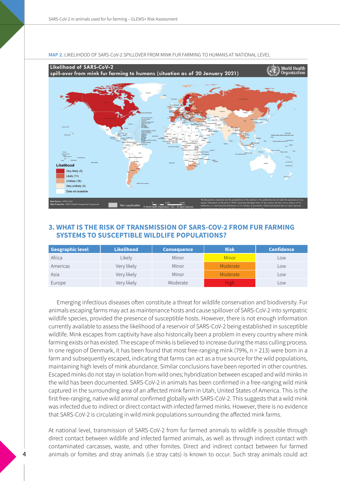

#### **MAP 2.** LIKELIHOOD OF SARS-CoV-2 SPILLOVER FROM MINK FUR FARMING TO HUMANS AT NATIONAL LEVEL

#### **3. WHAT IS THE RISK OF TRANSMISSION OF SARS-COV-2 FROM FUR FARMING SYSTEMS TO SUSCEPTIBLE WILDLIFE POPULATIONS?**

| Geographic level | <b>Likelihood</b> | <b>Consequence</b> | <b>Risk</b> | <b>Confidence</b> |
|------------------|-------------------|--------------------|-------------|-------------------|
| Africa           | Likely            | Minor              | Minor       | Low               |
| Americas         | Very likely       | Minor              | Moderate    | LOW               |
| Asia             | Very likely       | Minor              | Moderate    | Low               |
| Europe           | Very likely       | Moderate           | <b>High</b> | Low               |

Emerging infectious diseases often constitute a threat for wildlife conservation and biodiversity. Fur animals escaping farms may act as maintenance hosts and cause spillover of SARS-CoV-2 into sympatric wildlife species, provided the presence of susceptible hosts. However, there is not enough information currently available to assess the likelihood of a reservoir of SARS-CoV-2 being established in susceptible wildlife. Mink escapes from captivity have also historically been a problem in every country where mink farming exists or has existed. The escape of minks is believed to increase during the mass culling process. In one region of Denmark, it has been found that most free-ranging mink (79%, n = 213) were born in a farm and subsequently escaped, indicating that farms can act as a true source for the wild populations, maintaining high levels of mink abundance. Similar conclusions have been reported in other countries. Escaped minks do not stay in isolation from wild ones; hybridization between escaped and wild minks in the wild has been documented. SARS-CoV-2 in animals has been confirmed in a free-ranging wild mink captured in the surrounding area of an affected mink farm in Utah, United States of America. This is the first free-ranging, native wild animal confirmed globally with SARS-CoV-2. This suggests that a wild mink was infected due to indirect or direct contact with infected farmed minks. However, there is no evidence that SARS-CoV-2 is circulating in wild mink populations surrounding the affected mink farms.

At national level, transmission of SARS-CoV-2 from fur farmed animals to wildlife is possible through direct contact between wildlife and infected farmed animals, as well as through indirect contact with contaminated carcasses, waste, and other fomites. Direct and indirect contact between fur farmed animals or fomites and stray animals (i.e stray cats) is known to occur. Such stray animals could act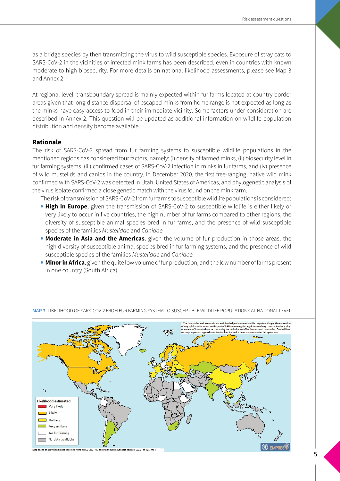as a bridge species by then transmitting the virus to wild susceptible species. Exposure of stray cats to SARS-CoV-2 in the vicinities of infected mink farms has been described, even in countries with known moderate to high biosecurity. For more details on national likelihood assessments, please see Map 3 and Annex 2.

At regional level, transboundary spread is mainly expected within fur farms located at country border areas given that long distance dispersal of escaped minks from home range is not expected as long as the minks have easy access to food in their immediate vicinity. Some factors under consideration are described in Annex 2. This question will be updated as additional information on wildlife population distribution and density become available.

#### **Rationale**

The risk of SARS-CoV-2 spread from fur farming systems to susceptible wildlife populations in the mentioned regions has considered four factors, namely: (i) density of farmed minks, (ii) biosecurity level in fur farming systems, (iii) confirmed cases of SARS-CoV-2 infection in minks in fur farms, and (iv) presence of wild mustelids and canids in the country. In December 2020, the first free-ranging, native wild mink confirmed with SARS-CoV-2 was detected in Utah, United States of Americas, and phylogenetic analysis of the virus isolate confirmed a close genetic match with the virus found on the mink farm.

- The risk of transmission of SARS-CoV-2 from fur farms to susceptible wildlife populations is considered: • **High in Europe**, given the transmission of SARS-CoV-2 to susceptible wildlife is either likely or very likely to occur in five countries, the high number of fur farms compared to other regions, the diversity of susceptible animal species bred in fur farms, and the presence of wild susceptible species of the families *Mustelidae* and *Canidae.*
- **Moderate in Asia and the Americas**, given the volume of fur production in those areas, the high diversity of susceptible animal species bred in fur farming systems, and the presence of wild susceptible species of the families *Mustelidae* and *Canidae.*
- **Minor in Africa**, given the quite low volume of fur production, and the low number of farms present in one country (South Africa).



**MAP 3.** LIKELIHOOD OF SARS-COV-2 FROM FUR FARMING SYSTEM TO SUSCEPTIBLE WILDLIFE POPULATIONS AT NATIONAL LEVEL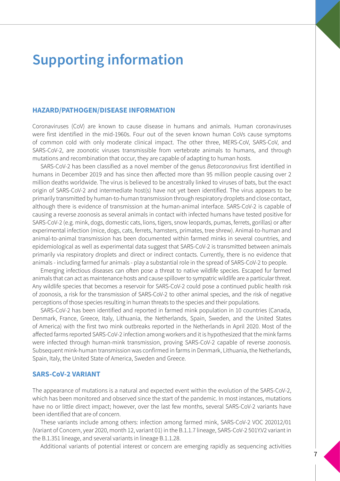### **Supporting information**

#### **HAZARD/PATHOGEN/DISEASE INFORMATION**

Coronaviruses (CoV) are known to cause disease in humans and animals. Human coronaviruses were first identified in the mid-1960s. Four out of the seven known human CoVs cause symptoms of common cold with only moderate clinical impact. The other three, MERS-CoV, SARS-CoV, and SARS-CoV-2, are zoonotic viruses transmissible from vertebrate animals to humans, and through mutations and recombination that occur, they are capable of adapting to human hosts.

SARS-CoV-2 has been classified as a novel member of the genus *Betacoronavirus* first identified in humans in December 2019 and has since then affected more than 95 million people causing over 2 million deaths worldwide. The virus is believed to be ancestrally linked to viruses of bats, but the exact origin of SARS-CoV-2 and intermediate host(s) have not yet been identified. The virus appears to be primarily transmitted by human-to-human transmission through respiratory droplets and close contact, although there is evidence of transmission at the human-animal interface. SARS-CoV-2 is capable of causing a reverse zoonosis as several animals in contact with infected humans have tested positive for SARS-CoV-2 (e.g. mink, dogs, domestic cats, lions, tigers, snow leopards, pumas, ferrets, gorillas) or after experimental infection (mice, dogs, cats, ferrets, hamsters, primates, tree shrew). Animal-to-human and animal-to-animal transmission has been documented within farmed minks in several countries, and epidemiological as well as experimental data suggest that SARS-CoV-2 is transmitted between animals primarily via respiratory droplets and direct or indirect contacts. Currently, there is no evidence that animals - including farmed fur animals - play a substantial role in the spread of SARS-CoV-2 to people.

Emerging infectious diseases can often pose a threat to native wildlife species. Escaped fur farmed animals that can act as maintenance hosts and cause spillover to sympatric wildlife are a particular threat. Any wildlife species that becomes a reservoir for SARS-CoV-2 could pose a continued public health risk of zoonosis, a risk for the transmission of SARS-CoV-2 to other animal species, and the risk of negative perceptions of those species resulting in human threats to the species and their populations.

SARS-CoV-2 has been identified and reported in farmed mink population in 10 countries (Canada, Denmark, France, Greece, Italy, Lithuania, the Netherlands, Spain, Sweden, and the United States of America) with the first two mink outbreaks reported in the Netherlands in April 2020. Most of the affected farms reported SARS-CoV-2 infection among workers and it is hypothesized that the mink farms were infected through human-mink transmission, proving SARS-CoV-2 capable of reverse zoonosis. Subsequent mink-human transmission was confirmed in farms in Denmark, Lithuania, the Netherlands, Spain, Italy, the United State of America, Sweden and Greece.

#### **SARS-CoV-2 VARIANT**

The appearance of mutations is a natural and expected event within the evolution of the SARS-CoV-2, which has been monitored and observed since the start of the pandemic. In most instances, mutations have no or little direct impact; however, over the last few months, several SARS-CoV-2 variants have been identified that are of concern.

These variants include among others: infection among farmed mink, SARS-CoV-2 VOC 202012/01 (Variant of Concern, year 2020, month 12, variant 01) in the B.1.1.7 lineage, SARS-CoV-2 501Y.V2 variant in the B.1.351 lineage, and several variants in lineage B.1.1.28.

Additional variants of potential interest or concern are emerging rapidly as sequencing activities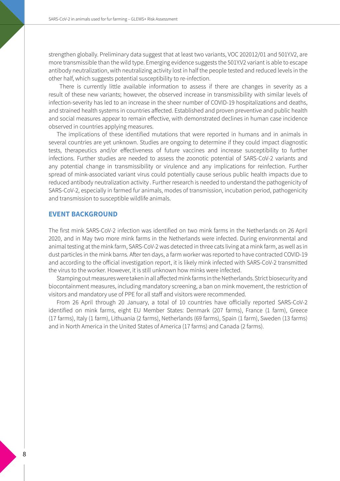strengthen globally. Preliminary data suggest that at least two variants, VOC 202012/01 and 501Y.V2, are more transmissible than the wild type. Emerging evidence suggests the 501Y.V2 variant is able to escape antibody neutralization, with neutralizing activity lost in half the people tested and reduced levels in the other half, which suggests potential susceptibility to re-infection.

 There is currently little available information to assess if there are changes in severity as a result of these new variants; however, the observed increase in transmissibility with similar levels of infection-severity has led to an increase in the sheer number of COVID-19 hospitalizations and deaths, and strained health systems in countries affected. Established and proven preventive and public health and social measures appear to remain effective, with demonstrated declines in human case incidence observed in countries applying measures.

The implications of these identified mutations that were reported in humans and in animals in several countries are yet unknown. Studies are ongoing to determine if they could impact diagnostic tests, therapeutics and/or effectiveness of future vaccines and increase susceptibility to further infections. Further studies are needed to assess the zoonotic potential of SARS-CoV-2 variants and any potential change in transmissibility or virulence and any implications for reinfection. Further spread of mink-associated variant virus could potentially cause serious public health impacts due to reduced antibody neutralization activity . Further research is needed to understand the pathogenicity of SARS-CoV-2, especially in farmed fur animals, modes of transmission, incubation period, pathogenicity and transmission to susceptible wildlife animals.

#### **EVENT BACKGROUND**

The first mink SARS-CoV-2 infection was identified on two mink farms in the Netherlands on 26 April 2020, and in May two more mink farms in the Netherlands were infected. During environmental and animal testing at the mink farm, SARS-CoV-2 was detected in three cats living at a mink farm, as well as in dust particles in the mink barns. After ten days, a farm worker was reported to have contracted COVID-19 and according to the official investigation report, it is likely mink infected with SARS-CoV-2 transmitted the virus to the worker. However, it is still unknown how minks were infected.

Stamping out measures were taken in all affected mink farms in the Netherlands. Strict biosecurity and biocontainment measures, including mandatory screening, a ban on mink movement, the restriction of visitors and mandatory use of PPE for all staff and visitors were recommended.

From 26 April through 20 January, a total of 10 countries have officially reported SARS-CoV-2 identified on mink farms, eight EU Member States: Denmark (207 farms), France (1 farm), Greece (17 farms), Italy (1 farm), Lithuania (2 farms), Netherlands (69 farms), Spain (1 farm), Sweden (13 farms) and in North America in the United States of America (17 farms) and Canada (2 farms).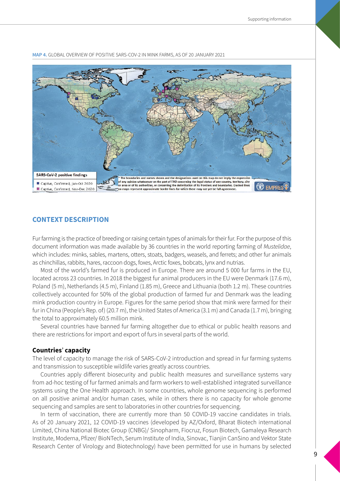

**MAP 4.** GLOBAL OVERVIEW OF POSITIVE SARS-COV-2 IN MINK FARMS, AS OF 20 JANUARY 2021

#### **CONTEXT DESCRIPTION**

Fur farming is the practice of breeding or raising certain types of animals for their fur. For the purpose of this document information was made available by 36 countries in the world reporting farming of *Mustelidae*, which includes: minks, sables, martens, otters, stoats, badgers, weasels, and ferrets; and other fur animals as chinchillas, rabbits, hares, raccoon dogs, foxes, Arctic foxes, bobcats, lynx and nutrias.

Most of the world's farmed fur is produced in Europe. There are around 5 000 fur farms in the EU, located across 23 countries. In 2018 the biggest fur animal producers in the EU were Denmark (17.6 m), Poland (5 m), Netherlands (4.5 m), Finland (1.85 m), Greece and Lithuania (both 1.2 m). These countries collectively accounted for 50% of the global production of farmed fur and Denmark was the leading mink production country in Europe. Figures for the same period show that mink were farmed for their fur in China (People's Rep. of) (20.7 m), the United States of America (3.1 m) and Canada (1.7 m), bringing the total to approximately 60.5 million mink.

Several countries have banned fur farming altogether due to ethical or public health reasons and there are restrictions for import and export of furs in several parts of the world.

#### **Countries**' **capacity**

The level of capacity to manage the risk of SARS-CoV-2 introduction and spread in fur farming systems and transmission to susceptible wildlife varies greatly across countries.

Countries apply different biosecurity and public health measures and surveillance systems vary from ad-hoc testing of fur farmed animals and farm workers to well-established integrated surveillance systems using the One Health approach. In some countries, whole genome sequencing is performed on all positive animal and/or human cases, while in others there is no capacity for whole genome sequencing and samples are sent to laboratories in other countries for sequencing.

In term of vaccination, there are currently more than 50 COVID-19 vaccine candidates in trials. As of 20 January 2021, 12 COVID-19 vaccines (developed by AZ/Oxford, Bharat Biotech international Limited, China National Biotec Group (CNBG)/ Sinopharm, Fiocruz, Fosun Biotech, Gamaleya Research Institute, Moderna, Pfizer/ BioNTech, Serum Institute of India, Sinovac, Tianjin CanSino and Vektor State Research Center of Virology and Biotechnology) have been permitted for use in humans by selected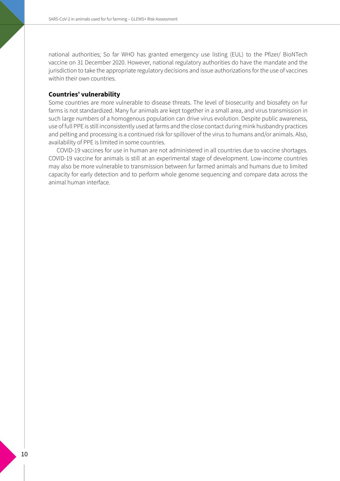national authorities; So far WHO has granted emergency use listing (EUL) to the Pfizer/ BioNTech vaccine on 31 December 2020. However, national regulatory authorities do have the mandate and the jurisdiction to take the appropriate regulatory decisions and issue authorizations for the use of vaccines within their own countries.

#### **Countries' vulnerability**

Some countries are more vulnerable to disease threats. The level of biosecurity and biosafety on fur farms is not standardized. Many fur animals are kept together in a small area, and virus transmission in such large numbers of a homogenous population can drive virus evolution. Despite public awareness, use of full PPE is still inconsistently used at farms and the close contact during mink husbandry practices and pelting and processing is a continued risk for spillover of the virus to humans and/or animals. Also, availability of PPE is limited in some countries.

COVID-19 vaccines for use in human are not administered in all countries due to vaccine shortages. COVID-19 vaccine for animals is still at an experimental stage of development. Low-income countries may also be more vulnerable to transmission between fur farmed animals and humans due to limited capacity for early detection and to perform whole genome sequencing and compare data across the animal human interface.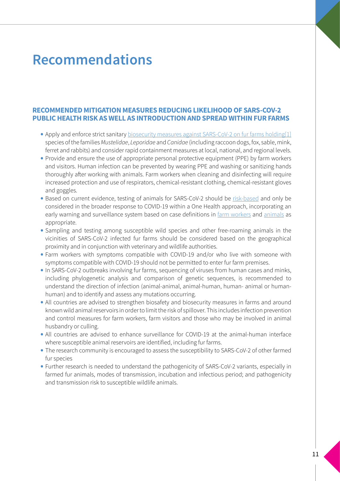### **Recommendations**

#### **RECOMMENDED MITIGATION MEASURES REDUCING LIKELIHOOD OF SARS-COV-2 PUBLIC HEALTH RISK AS WELL AS INTRODUCTION AND SPREAD WITHIN FUR FARMS**

- Apply and enforce strict sanitary [biosecurity measures against SARS-CoV-2 on fur farms holding\[](https://www.oie.int/fileadmin/Home/MM/Draft_OIE_Guidance_farmed_animals_cleanMS05.11.pdf)1] species of the families *Mustelidae*, *Leporidae* and *Canidae* (including raccoon dogs, fox, sable, mink, ferret and rabbits) and consider rapid containment measures at local, national, and regional levels.
- Provide and ensure the use of appropriate personal protective equipment (PPE) by farm workers and visitors. Human infection can be prevented by wearing PPE and washing or sanitizing hands thoroughly after working with animals. Farm workers when cleaning and disinfecting will require increased protection and use of respirators, chemical-resistant clothing, chemical-resistant gloves and goggles.
- Based on current evidence, testing of animals for SARS-CoV-2 should be [risk-based](https://www.oie.int/fileadmin/Home/MM/A_Sampling_Testing_and_Reporting_of_SARS-CoV-2_in_animals_3_July_2020.pdf) and only be considered in the broader response to COVID-19 within a One Health approach, incorporating an early warning and surveillance system based on case definitions in [farm workers](https://www.who.int/publications/i/item/WHO-2019-nCoV-Surveillance_Case_Definition-2020.2) and [animals](http://www.fao.org/3/cb2549en/CB2549EN.pdf) as appropriate.
- Sampling and testing among susceptible wild species and other free-roaming animals in the vicinities of SARS-CoV-2 infected fur farms should be considered based on the geographical proximity and in conjunction with veterinary and wildlife authorities.
- Farm workers with symptoms compatible with COVID-19 and/or who live with someone with symptoms compatible with COVID-19 should not be permitted to enter fur farm premises.
- In SARS-CoV-2 outbreaks involving fur farms, sequencing of viruses from human cases and minks, including phylogenetic analysis and comparison of genetic sequences, is recommended to understand the direction of infection (animal-animal, animal-human, human- animal or humanhuman) and to identify and assess any mutations occurring.
- All countries are advised to strengthen biosafety and biosecurity measures in farms and around known wild animal reservoirs in order to limit the risk of spillover. This includes infection prevention and control measures for farm workers, farm visitors and those who may be involved in animal husbandry or culling.
- All countries are advised to enhance surveillance for COVID-19 at the animal-human interface where susceptible animal reservoirs are identified, including fur farms.
- The research community is encouraged to assess the susceptibility to SARS-CoV-2 of other farmed fur species
- Further research is needed to understand the pathogenicity of SARS-CoV-2 variants, especially in farmed fur animals, modes of transmission, incubation and infectious period; and pathogenicity and transmission risk to susceptible wildlife animals.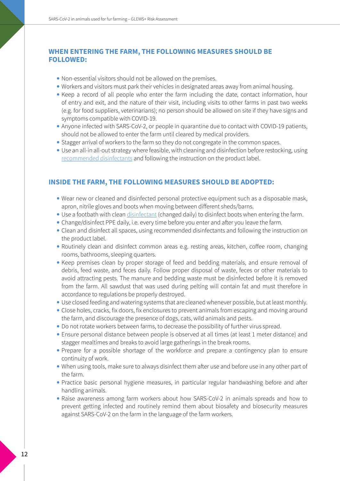#### **WHEN ENTERING THE FARM, THE FOLLOWING MEASURES SHOULD BE FOLLOWED:**

- Non-essential visitors should not be allowed on the premises.
- Workers and visitors must park their vehicles in designated areas away from animal housing.
- Keep a record of all people who enter the farm including the date, contact information, hour of entry and exit, and the nature of their visit, including visits to other farms in past two weeks (e.g. for food suppliers, veterinarians); no person should be allowed on site if they have [sign](https://www.who.int/publications/i/item/WHO-2019-nCoV-Surveillance_Case_Definition-2020.2)s and symptoms compatible with COVID-19.
- Anyone infected with SARS-CoV-2, or people in quarantine due to contact with COVID-19 patients, should not be allowed to enter the farm until cleared by medical providers.
- Stagger arrival of workers to the farm so they do not congregate in the common spaces.
- Use an all-in all-out strategy where feasible, with cleaning and disinfection before restocking, using [recommended disinfectants](https://www.oie.int/index.php?id=169&L=0&htmfile=chapitre_disinfect_disinsect.htm) and following the instruction on the product label.

#### **INSIDE THE FARM, THE FOLLOWING MEASURES SHOULD BE ADOPTED:**

- Wear new or cleaned and disinfected personal protective equipment such as a disposable mask, apron, nitrile gloves and boots when moving between different sheds/barns.
- Use a footbath with clean [disinfectant](https://www.oie.int/fileadmin/Home/MM/EN_2_Factsheet_SARS-CoV-2_v8_final.pdf) (changed daily) to disinfect boots when entering the farm.
- Change/disinfect PPE daily, i.e. every time before you enter and after you leave the farm.
- Clean and disinfect all spaces, using [recommended disinfectants](https://www.oie.int/index.php?id=169&L=0&htmfile=chapitre_disinfect_disinsect.htm) and following the instruction on the product label.
- Routinely clean and disinfect common areas e.g. resting areas, kitchen, coffee room, changing rooms, bathrooms, sleeping quarters.
- Keep premises clean by proper storage of feed and bedding materials, and ensure removal of debris, feed waste, and feces daily. Follow proper disposal of waste, feces or other materials to avoid attracting pests. The manure and bedding waste must be disinfected before it is removed from the farm. All sawdust that was used during pelting will contain fat and must therefore in accordance to regulations be properly destroyed.
- Use closed feeding and watering systems that are cleaned whenever possible, but at least monthly.
- Close holes, cracks, fix doors, fix enclosures to prevent animals from escaping and moving around the farm, and discourage the presence of dogs, cats, wild animals and pests.
- Do not rotate workers between farms, to decrease the possibility of further virus spread.
- Ensure personal distance between people is observed at all times (at least 1 meter distance) and stagger mealtimes and breaks to avoid large gatherings in the break rooms.
- Prepare for a possible shortage of the workforce and prepare a contingency plan to ensure continuity of work.
- When using tools, make sure to always disinfect them after use and before use in any other part of the farm.
- Practice basic personal hygiene measures, in particular regular handwashing before and after handling animals.
- Raise awareness among farm workers about how SARS-CoV-2 in animals spreads and how to prevent getting infected and routinely remind them about biosafety and biosecurity measures against SARS-CoV-2 on the farm in the language of the farm workers.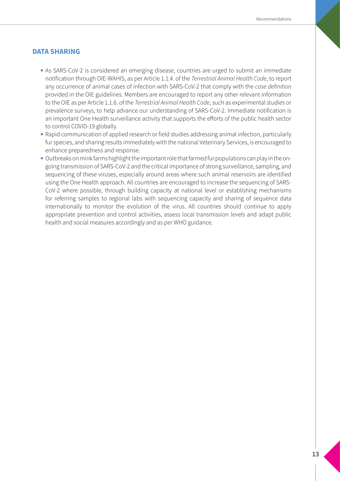#### **DATA SHARING**

- As SARS-CoV-2 is considered an emerging disease, countries are urged to submit an immediate notification through OIE-WAHIS, as per Article 1.1.4. of the *Terrestrial Animal Health Code*, to report any occurrence of animal cases of infection with SARS-CoV-2 that comply with the *case definition*  provided in the OIE guidelines. Members are encouraged to report any other relevant information to the OIE as per Article 1.1.6. of the *Terrestrial Animal Health Code*, such as experimental studies or prevalence surveys, to help advance our understanding of SARS-CoV-2. Immediate notification is an important One Health surveillance activity that supports the efforts of the public health sector to control COVID-19 globally.
- Rapid communication of applied research or field studies addressing animal infection, particularly fur species, and sharing results immediately with the national Veterinary Services, is encouraged to enhance preparedness and response.
- Outbreaks on mink farms highlight the important role that farmed fur populations can play in the ongoing transmission of SARS-CoV-2 and the critical importance of strong surveillance, sampling, and sequencing of these viruses, especially around areas where such animal reservoirs are identified using the One Health approach. All countries are encouraged to increase the sequencing of SARS-CoV-2 where possible, through building capacity at national level or establishing mechanisms for referring samples to regional labs with sequencing capacity and sharing of sequence data internationally to monitor the evolution of the virus. All countries should continue to apply appropriate prevention and control activities, assess local transmission levels and adapt public health and social measures accordingly and as per WHO guidance.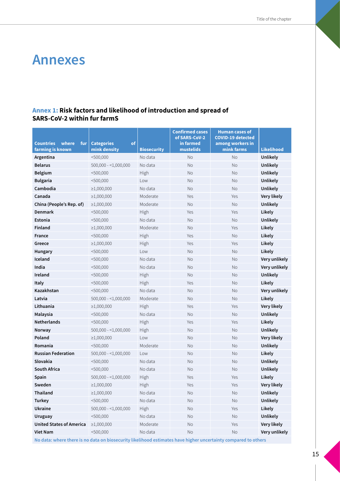### **Annexes**

#### **Annex 1: Risk factors and likelihood of introduction and spread of SARS-CoV-2 within fur farmS**

| <b>Countries</b><br>where<br>fur<br>farming is known | <b>Categories</b><br>of<br>mink density | <b>Biosecurity</b> | <b>Confirmed cases</b><br>of SARS-CoV-2<br>in farmed<br>mustelids | <b>Human cases of</b><br><b>COVID-19 detected</b><br>among workers in<br>mink farms | <b>Likelihood</b> |
|------------------------------------------------------|-----------------------------------------|--------------------|-------------------------------------------------------------------|-------------------------------------------------------------------------------------|-------------------|
| Argentina                                            | $<$ 500,000                             | No data            | No                                                                | No                                                                                  | <b>Unlikely</b>   |
| <b>Belarus</b>                                       | $500,000 - 1,000,000$                   | No data            | No                                                                | No                                                                                  | <b>Unlikely</b>   |
| <b>Belgium</b>                                       | $<$ 500,000                             | High               | No                                                                | No                                                                                  | <b>Unlikely</b>   |
| <b>Bulgaria</b>                                      | $<$ 500,000                             | Low                | No                                                                | No                                                                                  | <b>Unlikely</b>   |
| Cambodia                                             | $\geq 1,000,000$                        | No data            | No                                                                | No                                                                                  | <b>Unlikely</b>   |
| Canada                                               | ≥1,000,000                              | Moderate           | Yes                                                               | Yes                                                                                 | Very likely       |
| China (People's Rep. of)                             | ≥1,000,000                              | Moderate           | No                                                                | No                                                                                  | Unlikely          |
| <b>Denmark</b>                                       | $<$ 500,000                             | High               | Yes                                                               | Yes                                                                                 | Likely            |
| Estonia                                              | $<$ 500,000                             | No data            | No                                                                | No                                                                                  | <b>Unlikely</b>   |
| <b>Finland</b>                                       | $\geq 1,000,000$                        | Moderate           | No                                                                | Yes                                                                                 | Likely            |
| France                                               | $<$ 500,000                             | High               | Yes                                                               | No                                                                                  | Likely            |
| Greece                                               | $\geq 1,000,000$                        | High               | Yes                                                               | Yes                                                                                 | Likely            |
| Hungary                                              | $<$ 500,000                             | Low                | No                                                                | No                                                                                  | Likely            |
| Iceland                                              | $<$ 500,000                             | No data            | No                                                                | No                                                                                  | Very unlikely     |
| India                                                | $<$ 500,000                             | No data            | No                                                                | No                                                                                  | Very unlikely     |
| Ireland                                              | $<$ 500,000                             | High               | No                                                                | No                                                                                  | Unlikely          |
| Italy                                                | $<$ 500,000                             | High               | Yes                                                               | No                                                                                  | Likely            |
| Kazakhstan                                           | $<$ 500,000                             | No data            | No                                                                | No                                                                                  | Very unlikely     |
| Latvia                                               | $500,000 - 1,000,000$                   | Moderate           | No                                                                | No                                                                                  | Likely            |
| Lithuania                                            | $\geq 1,000,000$                        | High               | Yes                                                               | Yes                                                                                 | Very likely       |
| Malaysia                                             | $<$ 500,000                             | No data            | No                                                                | No                                                                                  | <b>Unlikely</b>   |
| <b>Netherlands</b>                                   | $<$ 500,000                             | High               | Yes                                                               | Yes                                                                                 | Likely            |
| Norway                                               | $500,000 - 1,000,000$                   | High               | No                                                                | No                                                                                  | Unlikely          |
| Poland                                               | $\geq 1,000,000$                        | Low                | No                                                                | No                                                                                  | Very likely       |
| Romania                                              | $<$ 500,000                             | Moderate           | No                                                                | No                                                                                  | <b>Unlikely</b>   |
| <b>Russian Federation</b>                            | $500,000 - 1,000,000$                   | Low                | No                                                                | No                                                                                  | Likely            |
| Slovakia                                             | $<$ 500,000                             | No data            | No                                                                | No                                                                                  | Unlikely          |
| South Africa                                         | $<$ 500,000                             | No data            | No                                                                | No                                                                                  | Unlikely          |
| Spain                                                | $500,000 - 1,000,000$                   | High               | Yes                                                               | Yes                                                                                 | Likely            |
| Sweden                                               | $\geq 1,000,000$                        | High               | Yes                                                               | Yes                                                                                 | Very likely       |
| <b>Thailand</b>                                      | $\geq 1,000,000$                        | No data            | No                                                                | No                                                                                  | Unlikely          |
| <b>Turkey</b>                                        | $<$ 500,000                             | No data            | No                                                                | No                                                                                  | Unlikely          |
| <b>Ukraine</b>                                       | $500,000 - 1,000,000$                   | High               | No                                                                | Yes                                                                                 | Likely            |
| <b>Uruguay</b>                                       | $<$ 500,000                             | No data            | No                                                                | No                                                                                  | <b>Unlikely</b>   |
| <b>United States of America</b>                      | $\geq 1,000,000$                        | Moderate           | No                                                                | Yes                                                                                 | Very likely       |
| <b>Viet Nam</b>                                      | $<$ 500,000                             | No data            | No                                                                | No                                                                                  | Very unlikely     |

**No data: where there is no data on biosecurity likelihood estimates have higher uncertainty compared to others**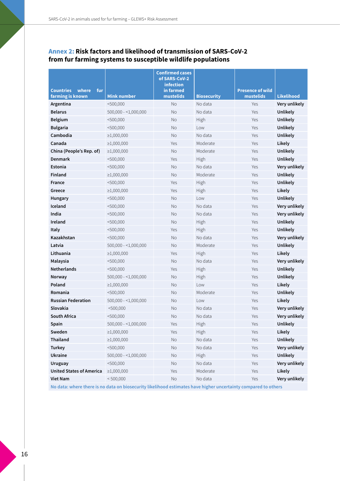#### **Annex 2: Risk factors and likelihood of transmission of SARS-CoV-2 from fur farming systems to susceptible wildlife populations**

| <b>Countries</b><br>where<br>fur |                                   | <b>Confirmed cases</b><br>of SARS-CoV-2<br>infection<br>in farmed<br>mustelids |                               | <b>Presence of wild</b><br>mustelids |                                    |
|----------------------------------|-----------------------------------|--------------------------------------------------------------------------------|-------------------------------|--------------------------------------|------------------------------------|
| farming is known<br>Argentina    | <b>Mink number</b><br>$<$ 500,000 | No                                                                             | <b>Biosecurity</b><br>No data | Yes                                  | <b>Likelihood</b><br>Very unlikely |
| <b>Belarus</b>                   | $500,000 - 1,000,000$             | No                                                                             | No data                       | Yes                                  | <b>Unlikely</b>                    |
| <b>Belgium</b>                   | $<$ 500,000                       | No                                                                             | High                          | Yes                                  | <b>Unlikely</b>                    |
| <b>Bulgaria</b>                  | $<$ 500,000                       | <b>No</b>                                                                      | Low                           | Yes                                  | <b>Unlikely</b>                    |
| Cambodia                         | $\geq 1,000,000$                  | No                                                                             | No data                       | Yes                                  | <b>Unlikely</b>                    |
| Canada                           | $\geq 1,000,000$                  | Yes                                                                            | Moderate                      | Yes                                  | <b>Likely</b>                      |
| China (People's Rep. of)         | $\geq 1,000,000$                  | No                                                                             | Moderate                      | Yes                                  | <b>Unlikely</b>                    |
| Denmark                          | $<$ 500,000                       | Yes                                                                            | High                          | Yes                                  | <b>Unlikely</b>                    |
| Estonia                          | $<$ 500,000                       | No                                                                             | No data                       | Yes                                  | Very unlikely                      |
| <b>Finland</b>                   | $\geq 1,000,000$                  | No                                                                             | Moderate                      | Yes                                  | <b>Unlikely</b>                    |
| <b>France</b>                    | $<$ 500,000                       | Yes                                                                            | High                          | Yes                                  | <b>Unlikely</b>                    |
| Greece                           | ≥1,000,000                        | Yes                                                                            | High                          | Yes                                  | Likely                             |
| Hungary                          | $<$ 500,000                       | No                                                                             | Low                           | Yes                                  | <b>Unlikely</b>                    |
| Iceland                          | $<$ 500,000                       | No                                                                             | No data                       | Yes                                  | Very unlikely                      |
| India                            | $<$ 500,000                       | No                                                                             | No data                       | Yes                                  | Very unlikely                      |
| Ireland                          | $<$ 500,000                       | No                                                                             | High                          | Yes                                  | <b>Unlikely</b>                    |
| Italy                            | $<$ 500,000                       | Yes                                                                            | High                          | Yes                                  | <b>Unlikely</b>                    |
| Kazakhstan                       | $<$ 500,000                       | No                                                                             | No data                       | Yes                                  | Very unlikely                      |
| Latvia                           | $500,000 - 1,000,000$             | No                                                                             | Moderate                      | Yes                                  | <b>Unlikely</b>                    |
| Lithuania                        | $\geq 1,000,000$                  | Yes                                                                            | High                          | Yes                                  | Likely                             |
| Malaysia                         | $<$ 500,000                       | No                                                                             | No data                       | Yes                                  | Very unlikely                      |
| <b>Netherlands</b>               | $<$ 500,000                       | Yes                                                                            | High                          | Yes                                  | <b>Unlikely</b>                    |
| Norway                           | $500,000 - 1,000,000$             | No                                                                             | High                          | Yes                                  | <b>Unlikely</b>                    |
| Poland                           | ≥1,000,000                        | No                                                                             | Low                           | Yes                                  | Likely                             |
| Romania                          | $<$ 500,000                       | No                                                                             | Moderate                      | Yes                                  | <b>Unlikely</b>                    |
| <b>Russian Federation</b>        | $500,000 - 1,000,000$             | No                                                                             | Low                           | Yes                                  | Likely                             |
| Slovakia                         | $<$ 500,000                       | No                                                                             | No data                       | Yes                                  | Very unlikely                      |
| South Africa                     | $<$ 500,000                       | No                                                                             | No data                       | Yes                                  | Very unlikely                      |
| Spain                            | 500,000 - <1,000,000              | Yes                                                                            | High                          | Yes                                  | <b>Unlikely</b>                    |
| Sweden                           | ≥1,000,000                        | Yes                                                                            | High                          | Yes                                  | <b>Likely</b>                      |
| Thailand                         | $\geq 1,000,000$                  | No                                                                             | No data                       | Yes                                  | <b>Unlikely</b>                    |
| <b>Turkey</b>                    | $<$ 500,000                       | No                                                                             | No data                       | Yes                                  | Very unlikely                      |
| <b>Ukraine</b>                   | $500,000 - 1,000,000$             | No                                                                             | <b>High</b>                   | Yes                                  | Unlikely                           |
| <b>Uruguay</b>                   | $<$ 500,000                       | No                                                                             | No data                       | Yes                                  | Very unlikely                      |
| <b>United States of America</b>  | $\geq 1,000,000$                  | Yes                                                                            | Moderate                      | Yes                                  | Likely                             |
| <b>Viet Nam</b>                  | < 500,000                         | $\rm No$                                                                       | No data                       | Yes                                  | Very unlikely                      |

**No data: where there is no data on biosecurity likelihood estimates have higher uncertainty compared to others**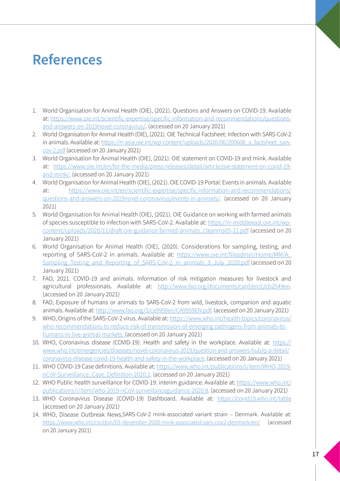# **References**

- 1. World Organisation for Animal Health (OIE), (2021). Questions and Answers on COVID-19. Available at: [https://www.oie.int/scientific-expertise/specific-information-and-recommendations/questions](https://www.oie.int/scientific-expertise/specific-information-and-recommendations/questions-and-answers-on-2019novel-coronavirus/)[and-answers-on-2019novel-coronavirus/](https://www.oie.int/scientific-expertise/specific-information-and-recommendations/questions-and-answers-on-2019novel-coronavirus/). (accessed on 20 January 2021)
- 2. World Organisation for Animal Health (OIE), (2021). OIE Technical Factsheet: Infection with SARS-CoV-2 in animals. Available at: [https://rr-asia.oie.int/wp-content/uploads/2020/06/200608\\_a\\_factsheet\\_sars](https://rr-asia.oie.int/wp-content/uploads/2020/06/200608_a_factsheet_sars-cov-2.pdf)[cov-2.pdf](https://rr-asia.oie.int/wp-content/uploads/2020/06/200608_a_factsheet_sars-cov-2.pdf) (accessed on 20 January 2021)
- 3. World Organisation for Animal Health (OIE), (2021). OIE statement on COVID-19 and mink. Available at: [https://www.oie.int/en/for-the-media/press-releases/detail/article/oie-statement-on-covid-19](https://www.oie.int/en/for-the-media/press-releases/detail/article/oie-statement-on-covid-19-and-mink/) [and-mink/.](https://www.oie.int/en/for-the-media/press-releases/detail/article/oie-statement-on-covid-19-and-mink/) (accessed on 20 January 2021)
- 4. World Organisation for Animal Health (OIE), (2021). OIE COVID-19 Portal: Events in animals. Available at: [https://www.oie.int/en/scientific-expertise/specific-information-and-recommendations/](https://www.oie.int/en/scientific-expertise/specific-information-and-recommendations/questions-and-answers-on-2019novel-coronavirus/events-in-animals/) [questions-and-answers-on-2019novel-coronavirus/events-in-animals/.](https://www.oie.int/en/scientific-expertise/specific-information-and-recommendations/questions-and-answers-on-2019novel-coronavirus/events-in-animals/) (accessed on 20 January 2021)
- 5. World Organisation for Animal Health (OIE), (2021). OIE Guidance on working with farmed animals of species susceptible to infection with SARS-CoV-2. Available at: [https://rr-middleeast.oie.int/wp](https://rr-middleeast.oie.int/wp-content/uploads/2020/11/draft-oie-guidance-farmed-animals_cleanms05-11.pdf)[content/uploads/2020/11/draft-oie-guidance-farmed-animals\\_cleanms05-11.pdf](https://rr-middleeast.oie.int/wp-content/uploads/2020/11/draft-oie-guidance-farmed-animals_cleanms05-11.pdf) (accessed on 20 January 2021)
- 6. World Organisation for Animal Health (OIE), (2020). Considerations for sampling, testing, and reporting of SARS-CoV-2 in animals. Available at: [https://www.oie.int/fileadmin/Home/MM/A\\_](https://www.oie.int/fileadmin/Home/MM/A_Sampling_Testing_and_Reporting_of_SARS-CoV-2_in_animals_3_July_2020.pdf) [Sampling\\_Testing\\_and\\_Reporting\\_of\\_SARS-CoV-2\\_in\\_animals\\_3\\_July\\_2020.pdf](https://www.oie.int/fileadmin/Home/MM/A_Sampling_Testing_and_Reporting_of_SARS-CoV-2_in_animals_3_July_2020.pdf) (accessed on 20 January 2021)
- 7. FAO, 2021. COVID-19 and animals. Information of risk mitigation measures for livestock and agricultural professionals. Available at: [http://www.fao.org/documents/card/en/c/cb2549en.](http://www.fao.org/documents/card/en/c/cb2549en) (accessed on 20 January 2021)
- 8. FAO, Exposure of humans or animals to SARS-CoV-2 from wild, livestock, companion and aquatic animals. Available at: [http://www.fao.org/3/ca9959en/CA9959EN.pdf.](http://www.fao.org/3/ca9959en/CA9959EN.pdf) (accessed on 20 January 2021)
- 9. WHO, Origins of the SARS-CoV-2 virus. Available at: [https://www.who.int/health-topics/coronavirus/](https://www.who.int/health-topics/coronavirus/who-recommendations-to-reduce-risk-of-transmission-of-emerging-pathogens-from-animals-to-humans-in-live-animal-markets) [who-recommendations-to-reduce-risk-of-transmission-of-emerging-pathogens-from-animals-to](https://www.who.int/health-topics/coronavirus/who-recommendations-to-reduce-risk-of-transmission-of-emerging-pathogens-from-animals-to-humans-in-live-animal-markets)[humans-in-live-animal-markets](https://www.who.int/health-topics/coronavirus/who-recommendations-to-reduce-risk-of-transmission-of-emerging-pathogens-from-animals-to-humans-in-live-animal-markets). (accessed on 20 January 2021)
- 10. WHO, Coronavirus disease (COVID-19): Health and safety in the workplace. Available at: [https://](https://www.who.int/emergencies/diseases/novel-coronavirus-2019/question-and-answers-hub/q-a-detail/coronavirus-disease-covid-19-health-and-safety-in-the-workplace) [www.who.int/emergencies/diseases/novel-coronavirus-2019/question-and-answers-hub/q-a-detail/](https://www.who.int/emergencies/diseases/novel-coronavirus-2019/question-and-answers-hub/q-a-detail/coronavirus-disease-covid-19-health-and-safety-in-the-workplace) [coronavirus-disease-covid-19-health-and-safety-in-the-workplace.](https://www.who.int/emergencies/diseases/novel-coronavirus-2019/question-and-answers-hub/q-a-detail/coronavirus-disease-covid-19-health-and-safety-in-the-workplace) (accessed on 20 January 2021)
- 11. WHO COVID-19 Case definitions. Available at: [https://www.who.int/publications/i/item/WHO-2019](https://www.who.int/publications/i/item/WHO-2019-nCoV-Surveillance_Case_Definition-2020.2) [nCoV-Surveillance\\_Case\\_Definition-2020.2](https://www.who.int/publications/i/item/WHO-2019-nCoV-Surveillance_Case_Definition-2020.2). (accessed on 20 January 2021)
- 12. WHO Public health surveillance for COVID-19: interim guidance. Available at: [https://www.who.int/](https://www.who.int/publications/i/item/who-2019-nCoV-surveillanceguidance-2020.8) [publications/i/item/who-2019-nCoV-surveillanceguidance-2020.8.](https://www.who.int/publications/i/item/who-2019-nCoV-surveillanceguidance-2020.8) (accessed on 20 January 2021)
- 13. WHO Coronavirus Disease (COVID-19) Dashboard. Available at: <https://covid19.who.int/table> (accessed on 20 January 2021)
- 14. [WHO, Disease Outbreak News,](file:///C:\Users\selenicminetd\AppData\Local\Microsoft\Windows\INetCache\Content.Outlook\Z3WMENBV\WHO,%20Disease%20Outbreak%20News:)SARS-CoV-2 mink-associated variant strain Denmark. Available at: <https://www.who.int/csr/don/03-december-2020-mink-associated-sars-cov2-denmark/en/> (accessed on 20 January 2021)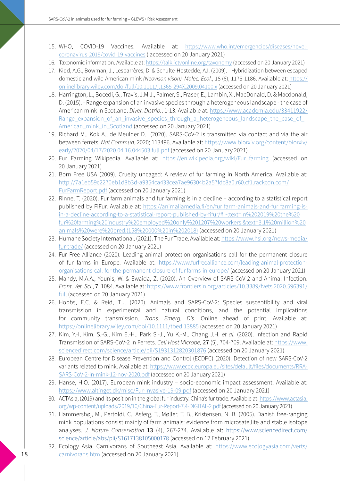- 15. WHO, COVID-19 Vaccines. Available at: [https://www.who.int/emergencies/diseases/novel](https://www.who.int/emergencies/diseases/novel-coronavirus-2019/covid-19-vaccines)[coronavirus-2019/covid-19-vaccines](https://www.who.int/emergencies/diseases/novel-coronavirus-2019/covid-19-vaccines) ( accessed on 20 January 2021)
- 16. Taxonomic information. Available at:<https://talk.ictvonline.org/taxonomy> (accessed on 20 January 2021)
- 17. Kidd, A.G., Bowman, J., Lesbarrères, D. & Schulte-Hostedde, A.I. (2009). Hybridization between escaped domestic and wild American mink *(Neovison vison). Molec. Ecol.*, 18 (6), 1175-1186. Available at: [https://](https://onlinelibrary.wiley.com/doi/full/10.1111/j.1365-294X.2009.04100.x) [onlinelibrary.wiley.com/doi/full/10.1111/j.1365-294X.2009.04100.x](https://onlinelibrary.wiley.com/doi/full/10.1111/j.1365-294X.2009.04100.x) (accessed on 20 January 2021)
- 18. Harrington, L., Bocedi, G., Travis, J.M.J., Palmer, S., Fraser, E., Lambin, X., MacDonald, D. & Macdonald, D. (2015). - Range expansion of an invasive species through a heterogeneous landscape - the case of American mink in Scotland. *Diver. Distrib.*, 1-13. Available at: [https://www.academia.edu/33411922/](https://www.academia.edu/33411922/Range_expansion_of_an_invasive_species_through_a_heterogeneous_landscape_the_case_of_American_mink_in_Scotland) Range expansion of an invasive species through a heterogeneous landscape the case of [American\\_mink\\_in\\_Scotland](https://www.academia.edu/33411922/Range_expansion_of_an_invasive_species_through_a_heterogeneous_landscape_the_case_of_American_mink_in_Scotland) (accessed on 20 January 2021)
- 19. Richard M., Kok A., de Meulder D. (2020). SARS-CoV-2 is transmitted via contact and via the air between ferrets. *Nat Commun.* 2020; 113496. Available at: [https://www.biorxiv.org/content/biorxiv/](https://www.biorxiv.org/content/biorxiv/early/2020/04/17/2020.04.16.044503.full.pdf) [early/2020/04/17/2020.04.16.044503.full.pdf](https://www.biorxiv.org/content/biorxiv/early/2020/04/17/2020.04.16.044503.full.pdf) (accessed on 20 January 2021)
- 20. Fur Farming Wikipedia. Available at: https://en.wikipedia.org/wiki/Fur farming (accessed on 20 January 2021)
- 21. Born Free USA (2009). Cruelty uncaged: A review of fur farming in North America. Available at: [http://7a1eb59c2270eb1d8b3d-a9354ca433cea7ae96304b2a57fdc8a0.r60.cf1.rackcdn.com/](http://7a1eb59c2270eb1d8b3d-a9354ca433cea7ae96304b2a57fdc8a0.r60.cf1.rackcdn.com/FurFarmReport.pdf) [FurFarmReport.pdf](http://7a1eb59c2270eb1d8b3d-a9354ca433cea7ae96304b2a57fdc8a0.r60.cf1.rackcdn.com/FurFarmReport.pdf) (accessed on 20 January 2021)
- 22. Rinne, T. (2020). Fur farm animals and fur farming is in a decline according to a statistical report published by FiFur. Available at: https://animaliamedia.fi/en/fur farm-animals-and-fur farming-isin-a-decline-according-to-a-statistical-report-published-by-fifur/#:~:text=In%202019%20the%20 fur%20farming%20industry%20employed%20only%201207%20workers.&text=3.1%20million%20 animals%20were%20bred,(158%20000%20in%202018) (accessed on 20 January 2021)
- 23. Humane Society International. (2021). The Fur Trade. Available at: [https://www.hsi.org/news-media/](https://www.hsi.org/news-media/fur-trade/) [fur-trade/](https://www.hsi.org/news-media/fur-trade/) (accessed on 20 January 2021)
- 24. Fur Free Alliance (2020). Leading animal protection organisations call for the permanent closure of fur farms in Europe. Available at: [https://www.furfreealliance.com/leading-animal-protection](https://www.furfreealliance.com/leading-animal-protection-organisations-call-for-the-permanent-closure-of-fur-farms-in-europe/)[organisations-call-for-the-permanent-closure-of-fur farms-in-europe/](https://www.furfreealliance.com/leading-animal-protection-organisations-call-for-the-permanent-closure-of-fur-farms-in-europe/) (accessed on 20 January 2021)
- 25. Mahdy, M.A.A., Younis, W. & Ewaida, Z. (2020). An Overview of SARS-CoV-2 and Animal Infection. *Front. Vet. Sci.*, 7, 1084. Available at: [https://www.frontiersin.org/articles/10.3389/fvets.2020.596391/](https://www.frontiersin.org/articles/10.3389/fvets.2020.596391/full) [full](https://www.frontiersin.org/articles/10.3389/fvets.2020.596391/full) (accessed on 20 January 2021)
- 26. Hobbs, E.C. & Reid, T.J. (2020). Animals and SARS-CoV-2: Species susceptibility and viral transmission in experimental and natural conditions, and the potential implications for community transmission. *Trans. Emerg. Dis*, Online ahead of print. Available at: <https://onlinelibrary.wiley.com/doi/10.1111/tbed.13885> (accessed on 20 January 2021)
- 27. Kim, Y.-I, Kim, S.-G., Kim E.-H., Park S.-J., Yu K.-M., Chang J.H. *et al.* (2020). Infection and Rapid Transmission of SARS-CoV-2 in Ferrets. *Cell Host Microbe,* 27 (5), 704-709. Available at: [https://www.](https://www.sciencedirect.com/science/article/pii/S1931312820301876) [sciencedirect.com/science/article/pii/S1931312820301876](https://www.sciencedirect.com/science/article/pii/S1931312820301876) (accessed on 20 January 2021)
- 28. European Centre for Disease Prevention and Control (ECDPC) (2020). Detection of new SARS-CoV-2 variants related to mink. Available at: [https://www.ecdc.europa.eu/sites/default/files/documents/RRA-](https://www.ecdc.europa.eu/sites/default/files/documents/RRA-SARS-CoV-2-in-mink-12-nov-2020.pdf)[SARS-CoV-2-in-mink-12-nov-2020.pdf](https://www.ecdc.europa.eu/sites/default/files/documents/RRA-SARS-CoV-2-in-mink-12-nov-2020.pdf) (accessed on 20 January 2021)
- 29. Hanse, H.O. (2017). European mink industry socio-economic impact assessment. Available at: <https://www.altinget.dk/misc/Fur-Invasive-19-09.pdf>(accessed on 20 January 2021)
- 30. ACTAsia, (2019) and its position in the global fur industry. China's fur trade. Available at: [https://www.actasia.](https://www.actasia.org/wp-content/uploads/2019/10/China-Fur-Report-7.4-DIGITAL-2.pdf) [org/wp-content/uploads/2019/10/China-Fur-Report-7.4-DIGITAL-2.pdf](https://www.actasia.org/wp-content/uploads/2019/10/China-Fur-Report-7.4-DIGITAL-2.pdf) (accessed on 20 January 2021)
- 31. Hammershøj, M., Pertoldi, C., Asferg, T., Møller, T. B., Kristensen, N. B. (2005). Danish free-ranging mink populations consist mainly of farm animals: evidence from microsatellite and stable isotope analyses. *J. Nature Conservation* 13 (4), 267-274. Available at: [https://www.sciencedirect.com/](https://www.sciencedirect.com/science/article/abs/pii/S1617138105000178) [science/article/abs/pii/S1617138105000178](https://www.sciencedirect.com/science/article/abs/pii/S1617138105000178) (accessed on 12 February 2021).
- 32. Ecology Asia. Carnivorans of Southeast Asia. Available at: [https://www.ecologyasia.com/verts/](https://www.ecologyasia.com/verts/carnivorans.htm) [carnivorans.htm](https://www.ecologyasia.com/verts/carnivorans.htm) (accessed on 20 January 2021)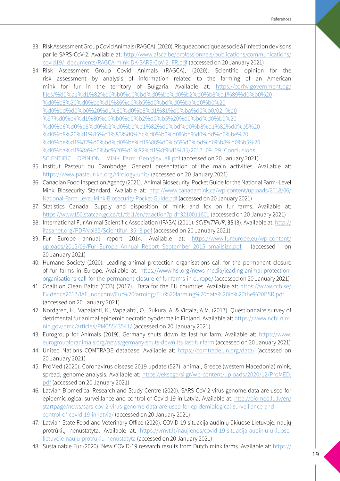- 33. Risk Assessment Group Covid Animals (RAGCA), (2020). Risque zoonotique associé à l'infection de visons par le SARS-CoV-2. Available at: [http://www.afsca.be/professionnels/publications/communications/](http://www.afsca.be/professionnels/publications/communications/covid19/_documents/RAGCA-mink-DK-SARS-CoV-2_FR.pdf) [covid19/\\_documents/RAGCA-mink-DK-SARS-CoV-2\\_FR.pdf](http://www.afsca.be/professionnels/publications/communications/covid19/_documents/RAGCA-mink-DK-SARS-CoV-2_FR.pdf) (accessed on 20 January 2021)
- 34. Risk Assessment Group Covid Animals (RAGCA), (2020). Scientific opinion for the risk assessment by analysis of information related to the farming of an American mink for fur in the territory of Bulgaria. Available at: [https://corhv.government.bg/](https://corhv.government.bg/files/%d0%a1%d1%82%d0%b0%d0%bd%d0%be%d0%b2%d0%b8%d1%89%d0%b0%20%d0%b8%20%d0%be%d1%86%d0%b5%d0%bd%d0%ba%d0%b0%20%d0%bd%d0%b0%20%d1%80%d0%b8%d1%81%d0%ba%d0%b0/02_%d0%97%d0%b4%d1%80%d0%b0%d0%b2%d0%b5%20%d0%bd%d0%b0%20%d0%b6%d0%b8%d0%b2%d0%be%d1%82%d0%bd%d0%b8%d1%82%d0%b5%20%d0%b8%20%d1%85%d1%83%d0%bc%d0%b0%d0%bd%d0%bd%d0%be%20%d0%be%d1%82%d0%bd%d0%be%d1%88%d0%b5%d0%bd%d0%b8%d0%b5%20%d0%ba%d1%8a%d0%bc%20%d1%82%d1%8f%d1%85/2017_09_29_Conclusions_SCIENTIFIC__OPINION__MINK_Farm_Georgiev_all.pdf) [files/%d0%a1%d1%82%d0%b0%d0%bd%d0%be%d0%b2%d0%b8%d1%89%d0%b0%20](https://corhv.government.bg/files/%d0%a1%d1%82%d0%b0%d0%bd%d0%be%d0%b2%d0%b8%d1%89%d0%b0%20%d0%b8%20%d0%be%d1%86%d0%b5%d0%bd%d0%ba%d0%b0%20%d0%bd%d0%b0%20%d1%80%d0%b8%d1%81%d0%ba%d0%b0/02_%d0%97%d0%b4%d1%80%d0%b0%d0%b2%d0%b5%20%d0%bd%d0%b0%20%d0%b6%d0%b8%d0%b2%d0%be%d1%82%d0%bd%d0%b8%d1%82%d0%b5%20%d0%b8%20%d1%85%d1%83%d0%bc%d0%b0%d0%bd%d0%bd%d0%be%20%d0%be%d1%82%d0%bd%d0%be%d1%88%d0%b5%d0%bd%d0%b8%d0%b5%20%d0%ba%d1%8a%d0%bc%20%d1%82%d1%8f%d1%85/2017_09_29_Conclusions_SCIENTIFIC__OPINION__MINK_Farm_Georgiev_all.pdf) [%d0%b8%20%d0%be%d1%86%d0%b5%d0%bd%d0%ba%d0%b0%20](https://corhv.government.bg/files/%d0%a1%d1%82%d0%b0%d0%bd%d0%be%d0%b2%d0%b8%d1%89%d0%b0%20%d0%b8%20%d0%be%d1%86%d0%b5%d0%bd%d0%ba%d0%b0%20%d0%bd%d0%b0%20%d1%80%d0%b8%d1%81%d0%ba%d0%b0/02_%d0%97%d0%b4%d1%80%d0%b0%d0%b2%d0%b5%20%d0%bd%d0%b0%20%d0%b6%d0%b8%d0%b2%d0%be%d1%82%d0%bd%d0%b8%d1%82%d0%b5%20%d0%b8%20%d1%85%d1%83%d0%bc%d0%b0%d0%bd%d0%bd%d0%be%20%d0%be%d1%82%d0%bd%d0%be%d1%88%d0%b5%d0%bd%d0%b8%d0%b5%20%d0%ba%d1%8a%d0%bc%20%d1%82%d1%8f%d1%85/2017_09_29_Conclusions_SCIENTIFIC__OPINION__MINK_Farm_Georgiev_all.pdf) [%d0%bd%d0%b0%20%d1%80%d0%b8%d1%81%d0%ba%d0%b0/02\\_%d0](https://corhv.government.bg/files/%d0%a1%d1%82%d0%b0%d0%bd%d0%be%d0%b2%d0%b8%d1%89%d0%b0%20%d0%b8%20%d0%be%d1%86%d0%b5%d0%bd%d0%ba%d0%b0%20%d0%bd%d0%b0%20%d1%80%d0%b8%d1%81%d0%ba%d0%b0/02_%d0%97%d0%b4%d1%80%d0%b0%d0%b2%d0%b5%20%d0%bd%d0%b0%20%d0%b6%d0%b8%d0%b2%d0%be%d1%82%d0%bd%d0%b8%d1%82%d0%b5%20%d0%b8%20%d1%85%d1%83%d0%bc%d0%b0%d0%bd%d0%bd%d0%be%20%d0%be%d1%82%d0%bd%d0%be%d1%88%d0%b5%d0%bd%d0%b8%d0%b5%20%d0%ba%d1%8a%d0%bc%20%d1%82%d1%8f%d1%85/2017_09_29_Conclusions_SCIENTIFIC__OPINION__MINK_Farm_Georgiev_all.pdf) [%97%d0%b4%d1%80%d0%b0%d0%b2%d0%b5%20%d0%bd%d0%b0%20](https://corhv.government.bg/files/%d0%a1%d1%82%d0%b0%d0%bd%d0%be%d0%b2%d0%b8%d1%89%d0%b0%20%d0%b8%20%d0%be%d1%86%d0%b5%d0%bd%d0%ba%d0%b0%20%d0%bd%d0%b0%20%d1%80%d0%b8%d1%81%d0%ba%d0%b0/02_%d0%97%d0%b4%d1%80%d0%b0%d0%b2%d0%b5%20%d0%bd%d0%b0%20%d0%b6%d0%b8%d0%b2%d0%be%d1%82%d0%bd%d0%b8%d1%82%d0%b5%20%d0%b8%20%d1%85%d1%83%d0%bc%d0%b0%d0%bd%d0%bd%d0%be%20%d0%be%d1%82%d0%bd%d0%be%d1%88%d0%b5%d0%bd%d0%b8%d0%b5%20%d0%ba%d1%8a%d0%bc%20%d1%82%d1%8f%d1%85/2017_09_29_Conclusions_SCIENTIFIC__OPINION__MINK_Farm_Georgiev_all.pdf) [%d0%b6%d0%b8%d0%b2%d0%be%d1%82%d0%bd%d0%b8%d1%82%d0%b5%20](https://corhv.government.bg/files/%d0%a1%d1%82%d0%b0%d0%bd%d0%be%d0%b2%d0%b8%d1%89%d0%b0%20%d0%b8%20%d0%be%d1%86%d0%b5%d0%bd%d0%ba%d0%b0%20%d0%bd%d0%b0%20%d1%80%d0%b8%d1%81%d0%ba%d0%b0/02_%d0%97%d0%b4%d1%80%d0%b0%d0%b2%d0%b5%20%d0%bd%d0%b0%20%d0%b6%d0%b8%d0%b2%d0%be%d1%82%d0%bd%d0%b8%d1%82%d0%b5%20%d0%b8%20%d1%85%d1%83%d0%bc%d0%b0%d0%bd%d0%bd%d0%be%20%d0%be%d1%82%d0%bd%d0%be%d1%88%d0%b5%d0%bd%d0%b8%d0%b5%20%d0%ba%d1%8a%d0%bc%20%d1%82%d1%8f%d1%85/2017_09_29_Conclusions_SCIENTIFIC__OPINION__MINK_Farm_Georgiev_all.pdf) [%d0%b8%20%d1%85%d1%83%d0%bc%d0%b0%d0%bd%d0%bd%d0%be%20](https://corhv.government.bg/files/%d0%a1%d1%82%d0%b0%d0%bd%d0%be%d0%b2%d0%b8%d1%89%d0%b0%20%d0%b8%20%d0%be%d1%86%d0%b5%d0%bd%d0%ba%d0%b0%20%d0%bd%d0%b0%20%d1%80%d0%b8%d1%81%d0%ba%d0%b0/02_%d0%97%d0%b4%d1%80%d0%b0%d0%b2%d0%b5%20%d0%bd%d0%b0%20%d0%b6%d0%b8%d0%b2%d0%be%d1%82%d0%bd%d0%b8%d1%82%d0%b5%20%d0%b8%20%d1%85%d1%83%d0%bc%d0%b0%d0%bd%d0%bd%d0%be%20%d0%be%d1%82%d0%bd%d0%be%d1%88%d0%b5%d0%bd%d0%b8%d0%b5%20%d0%ba%d1%8a%d0%bc%20%d1%82%d1%8f%d1%85/2017_09_29_Conclusions_SCIENTIFIC__OPINION__MINK_Farm_Georgiev_all.pdf) [%d0%be%d1%82%d0%bd%d0%be%d1%88%d0%b5%d0%bd%d0%b8%d0%b5%20](https://corhv.government.bg/files/%d0%a1%d1%82%d0%b0%d0%bd%d0%be%d0%b2%d0%b8%d1%89%d0%b0%20%d0%b8%20%d0%be%d1%86%d0%b5%d0%bd%d0%ba%d0%b0%20%d0%bd%d0%b0%20%d1%80%d0%b8%d1%81%d0%ba%d0%b0/02_%d0%97%d0%b4%d1%80%d0%b0%d0%b2%d0%b5%20%d0%bd%d0%b0%20%d0%b6%d0%b8%d0%b2%d0%be%d1%82%d0%bd%d0%b8%d1%82%d0%b5%20%d0%b8%20%d1%85%d1%83%d0%bc%d0%b0%d0%bd%d0%bd%d0%be%20%d0%be%d1%82%d0%bd%d0%be%d1%88%d0%b5%d0%bd%d0%b8%d0%b5%20%d0%ba%d1%8a%d0%bc%20%d1%82%d1%8f%d1%85/2017_09_29_Conclusions_SCIENTIFIC__OPINION__MINK_Farm_Georgiev_all.pdf) %d0%ba%d1%8a%d0%bc%20%d1%82%d1%8f%d1%85/2017\_09\_29\_Conclusions SCIENTIFIC OPINION MINK Farm Georgiev all.pdf (accessed on 20 January 2021)
- 35. Institut Pasteur du Cambodge. General presentation of the main activities. Available at: <https://www.pasteur-kh.org/virology-unit/> (accessed on 20 January 2021)
- 36. Canadian Food Inspection Agency (2021). Animal Biosecurity: Pocket Guide for the National Farm–Level Mink Biosecurity Standard. Available at: [http://www.canadamink.ca/wp-content/uploads/2018/06/](http://www.canadamink.ca/wp-content/uploads/2018/06/National-Farm-Level-Mink-Biosecurity-Pocket-Guide.pdf) [National-Farm-Level-Mink-Biosecurity-Pocket-Guide.pdf](http://www.canadamink.ca/wp-content/uploads/2018/06/National-Farm-Level-Mink-Biosecurity-Pocket-Guide.pdf) (accessed on 20 January 2021)
- 37. Statistics Canada. Supply and disposition of mink and fox on fur farms. Available at: <https://www150.statcan.gc.ca/t1/tbl1/en/tv.action?pid=3210011601>(accessed on 20 January 2021)
- 38. International Fur Animal Scientific Association (IFASA) (2011). *SCIENTIFUR*, 35 (3). Available at: [http://](http://ifasanet.org/PDF/vol35/Scientifur_35_3.pdf) [ifasanet.org/PDF/vol35/Scientifur\\_35\\_3.pdf](http://ifasanet.org/PDF/vol35/Scientifur_35_3.pdf) (accessed on 20 January 2021)
- 39. Fur Europe annual report 2014. Available at: [https://www.fureurope.eu/wp-content/](https://www.fureurope.eu/wp-content/uploads/2015/09/Fur_Europe_Annual_Report_September_2015_smallsize.pdf) [uploads/2015/09/Fur\\_Europe\\_Annual\\_Report\\_September\\_2015\\_smallsize.pdf](https://www.fureurope.eu/wp-content/uploads/2015/09/Fur_Europe_Annual_Report_September_2015_smallsize.pdf) (accessed on 20 January 2021)
- 40. Humane Society (2020). Leading animal protection organisations call for the permanent closure of fur farms in Europe. Available at: [https://www.hsi.org/news-media/leading-animal-protection](https://www.hsi.org/news-media/leading-animal-protection-organisations-call-for-the-permanent-closure-of-fur-farms-in-europe/)[organisations-call-for-the-permanent-closure-of-fur-farms-in-europe/](https://www.hsi.org/news-media/leading-animal-protection-organisations-call-for-the-permanent-closure-of-fur-farms-in-europe/) (accessed on 20 January 2021)
- 41. Coalition Clean Baltic (CCB) (2017). Data for the EU countries. Available at: [https://www.ccb.se/](https://www.ccb.se/Evidence2017/IAF_nonconv/Fur%20farming/Fur%20farming%20data%20in%20the%20BSR.pdf) [Evidence2017/IAF\\_nonconv/Fur%20farming/Fur%20farming%20data%20in%20the%20BSR.pdf](https://www.ccb.se/Evidence2017/IAF_nonconv/Fur%20farming/Fur%20farming%20data%20in%20the%20BSR.pdf) (accessed on 20 January 2021)
- 42. Nordgren, H., Vapalahti, K., Vapalahti, O., Sukura, A. & Virtala, A.M. (2017). Questionnaire survey of detrimental fur animal epidemic necrotic pyoderma in Finland. Available at: [https://www.ncbi.nlm.](https://www.ncbi.nlm.nih.gov/pmc/articles/PMC5543541/) [nih.gov/pmc/articles/PMC5543541/](https://www.ncbi.nlm.nih.gov/pmc/articles/PMC5543541/) (accessed on 20 January 2021)
- 43. Eurogroup for Animals (2019). Germany shuts down its last fur farm. Available at: [https://www.](https://www.eurogroupforanimals.org/news/germany-shuts-down-its-last-fur-farm) [eurogroupforanimals.org/news/germany-shuts-down-its-last-fur farm](https://www.eurogroupforanimals.org/news/germany-shuts-down-its-last-fur-farm) (accessed on 20 January 2021)
- 44. United Nations COMTRADE database. Available at: <https://comtrade.un.org/data/> (accessed on 20 January 2021)
- 45. ProMed (2020). Coronavirus disease 2019 update (527): animal, Greece (western Macedonia) mink, spread, genome analysis. Available at: [https://eksegersi.gr/wp-content/uploads/2020/12/ProMED.](https://eksegersi.gr/wp-content/uploads/2020/12/ProMED.pdf) [pdf](https://eksegersi.gr/wp-content/uploads/2020/12/ProMED.pdf) (accessed on 20 January 2021)
- 46. Latvian Biomedical Research and Study Centre (2020). SARS-CoV-2 virus genome data are used for epidemiological surveillance and control of Covid-19 in Latvia. Available at: [http://biomed.lu.lv/en/](http://biomed.lu.lv/en/startpage/news/sars-cov-2-virus-genome-data-are-used-for-epidemiological-surveillance-and-control-of-covid-19-in-latvia/) [startpage/news/sars-cov-2-virus-genome-data-are-used-for-epidemiological-surveillance-and](http://biomed.lu.lv/en/startpage/news/sars-cov-2-virus-genome-data-are-used-for-epidemiological-surveillance-and-control-of-covid-19-in-latvia/)[control-of-covid-19-in-latvia/](http://biomed.lu.lv/en/startpage/news/sars-cov-2-virus-genome-data-are-used-for-epidemiological-surveillance-and-control-of-covid-19-in-latvia/) (accessed on 20 January 2021)
- 47. Latvian State Food and Veterinary Office (2020). COVID-19 situacija audinių ūkiuose Lietuvoje: naujų protrūkių nenustatyta. Available at: [https://vmvt.lt/naujienos/covid-19-situacija-audiniu-ukiuose](https://vmvt.lt/naujienos/covid-19-situacija-audiniu-ukiuose-lietuvoje-nauju-protrukiu-nenustatyta)[lietuvoje-nauju-protrukiu-nenustatyta](https://vmvt.lt/naujienos/covid-19-situacija-audiniu-ukiuose-lietuvoje-nauju-protrukiu-nenustatyta) (accessed on 20 January 2021)
- 48. Sustainable Fur (2020). New COVID-19 research results from Dutch mink farms. Available at: [https://](https://www.sustainablefur.com/news_item/new-covid-19-research-results-from-dutch-mink-farms/)